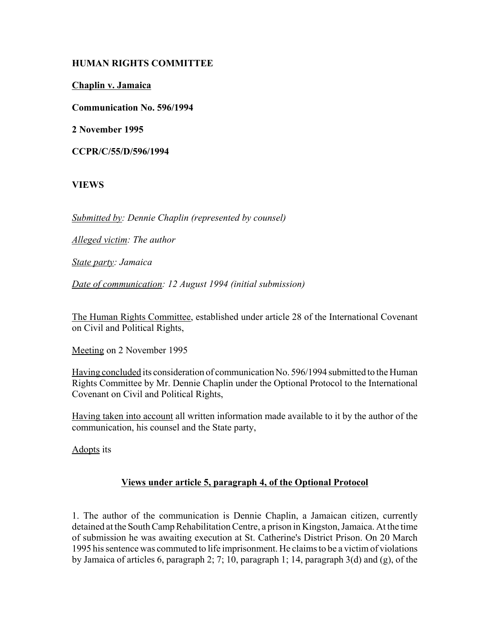# **HUMAN RIGHTS COMMITTEE**

**Chaplin v. Jamaica**

**Communication No. 596/1994**

**2 November 1995**

**CCPR/C/55/D/596/1994**

### **VIEWS**

*Submitted by: Dennie Chaplin (represented by counsel)*

*Alleged victim: The author*

*State party: Jamaica*

*Date of communication: 12 August 1994 (initial submission)*

The Human Rights Committee, established under article 28 of the International Covenant on Civil and Political Rights,

Meeting on 2 November 1995

Having concluded its consideration of communication No. 596/1994 submitted to the Human Rights Committee by Mr. Dennie Chaplin under the Optional Protocol to the International Covenant on Civil and Political Rights,

Having taken into account all written information made available to it by the author of the communication, his counsel and the State party,

Adopts its

# **Views under article 5, paragraph 4, of the Optional Protocol**

1. The author of the communication is Dennie Chaplin, a Jamaican citizen, currently detained at the South Camp Rehabilitation Centre, a prison in Kingston, Jamaica. At the time of submission he was awaiting execution at St. Catherine's District Prison. On 20 March 1995 his sentence was commuted to life imprisonment. He claims to be a victim of violations by Jamaica of articles 6, paragraph 2; 7; 10, paragraph 1; 14, paragraph 3(d) and (g), of the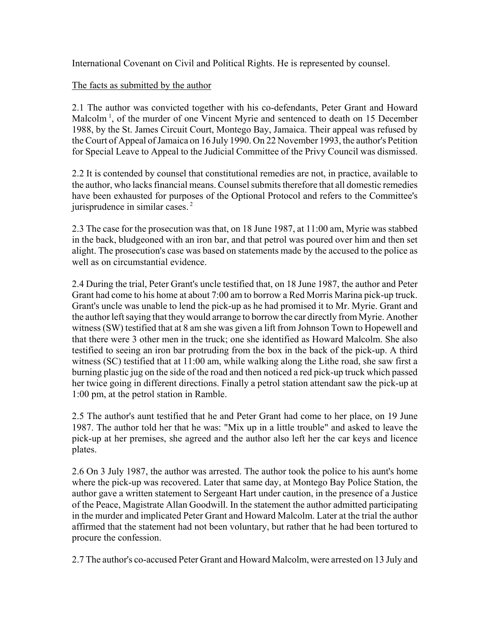International Covenant on Civil and Political Rights. He is represented by counsel.

# The facts as submitted by the author

2.1 The author was convicted together with his co-defendants, Peter Grant and Howard Malcolm<sup>1</sup>, of the murder of one Vincent Myrie and sentenced to death on 15 December 1988, by the St. James Circuit Court, Montego Bay, Jamaica. Their appeal was refused by the Court of Appeal of Jamaica on 16 July 1990. On 22 November 1993, the author's Petition for Special Leave to Appeal to the Judicial Committee of the Privy Council was dismissed.

2.2 It is contended by counsel that constitutional remedies are not, in practice, available to the author, who lacks financial means. Counsel submits therefore that all domestic remedies have been exhausted for purposes of the Optional Protocol and refers to the Committee's jurisprudence in similar cases. 2

2.3 The case for the prosecution was that, on 18 June 1987, at 11:00 am, Myrie was stabbed in the back, bludgeoned with an iron bar, and that petrol was poured over him and then set alight. The prosecution's case was based on statements made by the accused to the police as well as on circumstantial evidence

2.4 During the trial, Peter Grant's uncle testified that, on 18 June 1987, the author and Peter Grant had come to his home at about 7:00 am to borrow a Red Morris Marina pick-up truck. Grant's uncle was unable to lend the pick-up as he had promised it to Mr. Myrie. Grant and the author left saying that they would arrange to borrow the car directly from Myrie. Another witness (SW) testified that at 8 am she was given a lift from Johnson Town to Hopewell and that there were 3 other men in the truck; one she identified as Howard Malcolm. She also testified to seeing an iron bar protruding from the box in the back of the pick-up. A third witness (SC) testified that at 11:00 am, while walking along the Lithe road, she saw first a burning plastic jug on the side of the road and then noticed a red pick-up truck which passed her twice going in different directions. Finally a petrol station attendant saw the pick-up at 1:00 pm, at the petrol station in Ramble.

2.5 The author's aunt testified that he and Peter Grant had come to her place, on 19 June 1987. The author told her that he was: "Mix up in a little trouble" and asked to leave the pick-up at her premises, she agreed and the author also left her the car keys and licence plates.

2.6 On 3 July 1987, the author was arrested. The author took the police to his aunt's home where the pick-up was recovered. Later that same day, at Montego Bay Police Station, the author gave a written statement to Sergeant Hart under caution, in the presence of a Justice of the Peace, Magistrate Allan Goodwill. In the statement the author admitted participating in the murder and implicated Peter Grant and Howard Malcolm. Later at the trial the author affirmed that the statement had not been voluntary, but rather that he had been tortured to procure the confession.

2.7 The author's co-accused Peter Grant and Howard Malcolm, were arrested on 13 July and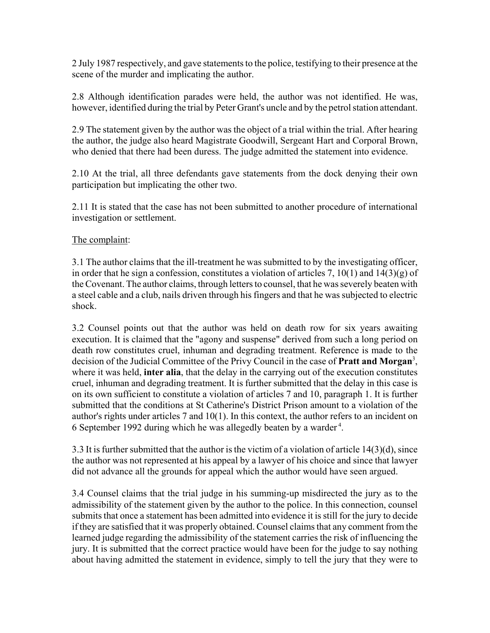2 July 1987 respectively, and gave statements to the police, testifying to their presence at the scene of the murder and implicating the author.

2.8 Although identification parades were held, the author was not identified. He was, however, identified during the trial by Peter Grant's uncle and by the petrol station attendant.

2.9 The statement given by the author was the object of a trial within the trial. After hearing the author, the judge also heard Magistrate Goodwill, Sergeant Hart and Corporal Brown, who denied that there had been duress. The judge admitted the statement into evidence.

2.10 At the trial, all three defendants gave statements from the dock denying their own participation but implicating the other two.

2.11 It is stated that the case has not been submitted to another procedure of international investigation or settlement.

#### The complaint:

3.1 The author claims that the ill-treatment he was submitted to by the investigating officer, in order that he sign a confession, constitutes a violation of articles 7,  $10(1)$  and  $14(3)(g)$  of the Covenant. The author claims, through letters to counsel, that he was severely beaten with a steel cable and a club, nails driven through his fingers and that he was subjected to electric shock.

3.2 Counsel points out that the author was held on death row for six years awaiting execution. It is claimed that the "agony and suspense" derived from such a long period on death row constitutes cruel, inhuman and degrading treatment. Reference is made to the decision of the Judicial Committee of the Privy Council in the case of **Pratt and Morgan**<sup>3</sup> , where it was held, **inter alia**, that the delay in the carrying out of the execution constitutes cruel, inhuman and degrading treatment. It is further submitted that the delay in this case is on its own sufficient to constitute a violation of articles 7 and 10, paragraph 1. It is further submitted that the conditions at St Catherine's District Prison amount to a violation of the author's rights under articles 7 and 10(1). In this context, the author refers to an incident on 6 September 1992 during which he was allegedly beaten by a warder 4.

3.3 It is further submitted that the author is the victim of a violation of article 14(3)(d), since the author was not represented at his appeal by a lawyer of his choice and since that lawyer did not advance all the grounds for appeal which the author would have seen argued.

3.4 Counsel claims that the trial judge in his summing-up misdirected the jury as to the admissibility of the statement given by the author to the police. In this connection, counsel submits that once a statement has been admitted into evidence it is still for the jury to decide if they are satisfied that it was properly obtained. Counsel claims that any comment from the learned judge regarding the admissibility of the statement carries the risk of influencing the jury. It is submitted that the correct practice would have been for the judge to say nothing about having admitted the statement in evidence, simply to tell the jury that they were to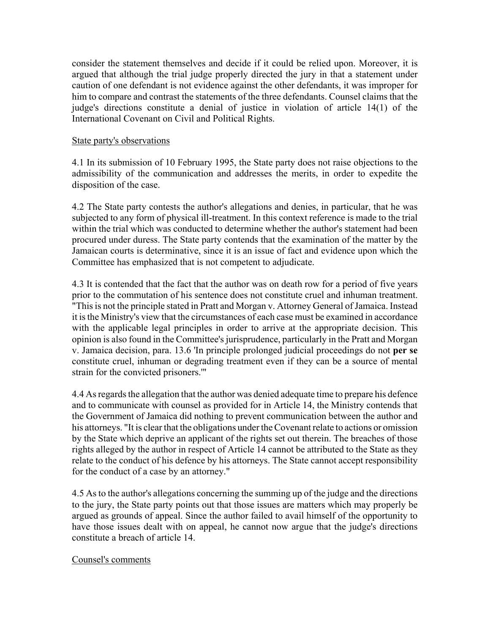consider the statement themselves and decide if it could be relied upon. Moreover, it is argued that although the trial judge properly directed the jury in that a statement under caution of one defendant is not evidence against the other defendants, it was improper for him to compare and contrast the statements of the three defendants. Counsel claims that the judge's directions constitute a denial of justice in violation of article 14(1) of the International Covenant on Civil and Political Rights.

#### State party's observations

4.1 In its submission of 10 February 1995, the State party does not raise objections to the admissibility of the communication and addresses the merits, in order to expedite the disposition of the case.

4.2 The State party contests the author's allegations and denies, in particular, that he was subjected to any form of physical ill-treatment. In this context reference is made to the trial within the trial which was conducted to determine whether the author's statement had been procured under duress. The State party contends that the examination of the matter by the Jamaican courts is determinative, since it is an issue of fact and evidence upon which the Committee has emphasized that is not competent to adjudicate.

4.3 It is contended that the fact that the author was on death row for a period of five years prior to the commutation of his sentence does not constitute cruel and inhuman treatment. "This is not the principle stated in Pratt and Morgan v. Attorney General of Jamaica. Instead it is the Ministry's view that the circumstances of each case must be examined in accordance with the applicable legal principles in order to arrive at the appropriate decision. This opinion is also found in the Committee's jurisprudence, particularly in the Pratt and Morgan v. Jamaica decision, para. 13.6 'In principle prolonged judicial proceedings do not **per se** constitute cruel, inhuman or degrading treatment even if they can be a source of mental strain for the convicted prisoners.'"

4.4 As regards the allegation that the author was denied adequate time to prepare his defence and to communicate with counsel as provided for in Article 14, the Ministry contends that the Government of Jamaica did nothing to prevent communication between the author and his attorneys. "It is clear that the obligations under the Covenant relate to actions or omission by the State which deprive an applicant of the rights set out therein. The breaches of those rights alleged by the author in respect of Article 14 cannot be attributed to the State as they relate to the conduct of his defence by his attorneys. The State cannot accept responsibility for the conduct of a case by an attorney."

4.5 As to the author's allegations concerning the summing up of the judge and the directions to the jury, the State party points out that those issues are matters which may properly be argued as grounds of appeal. Since the author failed to avail himself of the opportunity to have those issues dealt with on appeal, he cannot now argue that the judge's directions constitute a breach of article 14.

#### Counsel's comments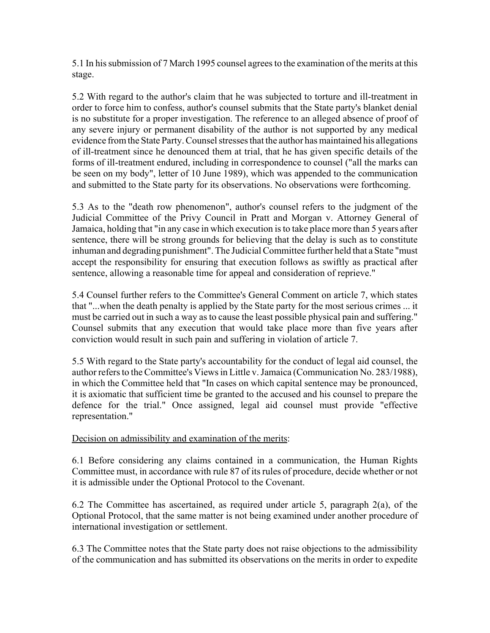5.1 In his submission of 7 March 1995 counsel agrees to the examination of the merits at this stage.

5.2 With regard to the author's claim that he was subjected to torture and ill-treatment in order to force him to confess, author's counsel submits that the State party's blanket denial is no substitute for a proper investigation. The reference to an alleged absence of proof of any severe injury or permanent disability of the author is not supported by any medical evidence from the State Party. Counsel stresses that the author has maintained his allegations of ill-treatment since he denounced them at trial, that he has given specific details of the forms of ill-treatment endured, including in correspondence to counsel ("all the marks can be seen on my body", letter of 10 June 1989), which was appended to the communication and submitted to the State party for its observations. No observations were forthcoming.

5.3 As to the "death row phenomenon", author's counsel refers to the judgment of the Judicial Committee of the Privy Council in Pratt and Morgan v. Attorney General of Jamaica, holding that "in any case in which execution is to take place more than 5 years after sentence, there will be strong grounds for believing that the delay is such as to constitute inhuman and degrading punishment". The Judicial Committee further held that a State "must accept the responsibility for ensuring that execution follows as swiftly as practical after sentence, allowing a reasonable time for appeal and consideration of reprieve."

5.4 Counsel further refers to the Committee's General Comment on article 7, which states that "...when the death penalty is applied by the State party for the most serious crimes ... it must be carried out in such a way as to cause the least possible physical pain and suffering." Counsel submits that any execution that would take place more than five years after conviction would result in such pain and suffering in violation of article 7.

5.5 With regard to the State party's accountability for the conduct of legal aid counsel, the author refers to the Committee's Views in Little v. Jamaica (Communication No. 283/1988), in which the Committee held that "In cases on which capital sentence may be pronounced, it is axiomatic that sufficient time be granted to the accused and his counsel to prepare the defence for the trial." Once assigned, legal aid counsel must provide "effective representation."

# Decision on admissibility and examination of the merits:

6.1 Before considering any claims contained in a communication, the Human Rights Committee must, in accordance with rule 87 of its rules of procedure, decide whether or not it is admissible under the Optional Protocol to the Covenant.

6.2 The Committee has ascertained, as required under article 5, paragraph 2(a), of the Optional Protocol, that the same matter is not being examined under another procedure of international investigation or settlement.

6.3 The Committee notes that the State party does not raise objections to the admissibility of the communication and has submitted its observations on the merits in order to expedite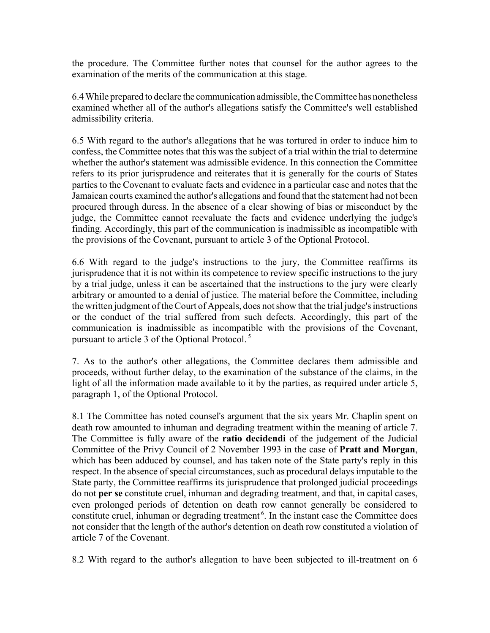the procedure. The Committee further notes that counsel for the author agrees to the examination of the merits of the communication at this stage.

6.4 While prepared to declare the communication admissible, the Committee has nonetheless examined whether all of the author's allegations satisfy the Committee's well established admissibility criteria.

6.5 With regard to the author's allegations that he was tortured in order to induce him to confess, the Committee notes that this was the subject of a trial within the trial to determine whether the author's statement was admissible evidence. In this connection the Committee refers to its prior jurisprudence and reiterates that it is generally for the courts of States parties to the Covenant to evaluate facts and evidence in a particular case and notes that the Jamaican courts examined the author's allegations and found that the statement had not been procured through duress. In the absence of a clear showing of bias or misconduct by the judge, the Committee cannot reevaluate the facts and evidence underlying the judge's finding. Accordingly, this part of the communication is inadmissible as incompatible with the provisions of the Covenant, pursuant to article 3 of the Optional Protocol.

6.6 With regard to the judge's instructions to the jury, the Committee reaffirms its jurisprudence that it is not within its competence to review specific instructions to the jury by a trial judge, unless it can be ascertained that the instructions to the jury were clearly arbitrary or amounted to a denial of justice. The material before the Committee, including the written judgment of the Court of Appeals, does not show that the trial judge's instructions or the conduct of the trial suffered from such defects. Accordingly, this part of the communication is inadmissible as incompatible with the provisions of the Covenant, pursuant to article 3 of the Optional Protocol. 5

7. As to the author's other allegations, the Committee declares them admissible and proceeds, without further delay, to the examination of the substance of the claims, in the light of all the information made available to it by the parties, as required under article 5, paragraph 1, of the Optional Protocol.

8.1 The Committee has noted counsel's argument that the six years Mr. Chaplin spent on death row amounted to inhuman and degrading treatment within the meaning of article 7. The Committee is fully aware of the **ratio decidendi** of the judgement of the Judicial Committee of the Privy Council of 2 November 1993 in the case of **Pratt and Morgan**, which has been adduced by counsel, and has taken note of the State party's reply in this respect. In the absence of special circumstances, such as procedural delays imputable to the State party, the Committee reaffirms its jurisprudence that prolonged judicial proceedings do not **per se** constitute cruel, inhuman and degrading treatment, and that, in capital cases, even prolonged periods of detention on death row cannot generally be considered to constitute cruel, inhuman or degrading treatment<sup>6</sup>. In the instant case the Committee does not consider that the length of the author's detention on death row constituted a violation of article 7 of the Covenant.

8.2 With regard to the author's allegation to have been subjected to ill-treatment on 6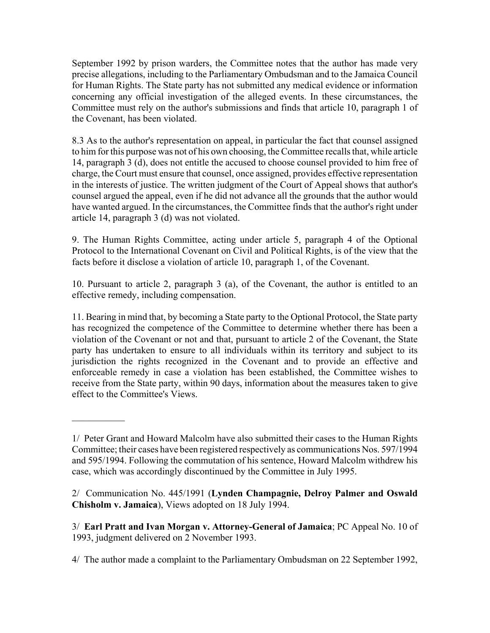September 1992 by prison warders, the Committee notes that the author has made very precise allegations, including to the Parliamentary Ombudsman and to the Jamaica Council for Human Rights. The State party has not submitted any medical evidence or information concerning any official investigation of the alleged events. In these circumstances, the Committee must rely on the author's submissions and finds that article 10, paragraph 1 of the Covenant, has been violated.

8.3 As to the author's representation on appeal, in particular the fact that counsel assigned to him for this purpose was not of his own choosing, the Committee recalls that, while article 14, paragraph 3 (d), does not entitle the accused to choose counsel provided to him free of charge, the Court must ensure that counsel, once assigned, provides effective representation in the interests of justice. The written judgment of the Court of Appeal shows that author's counsel argued the appeal, even if he did not advance all the grounds that the author would have wanted argued. In the circumstances, the Committee finds that the author's right under article 14, paragraph 3 (d) was not violated.

9. The Human Rights Committee, acting under article 5, paragraph 4 of the Optional Protocol to the International Covenant on Civil and Political Rights, is of the view that the facts before it disclose a violation of article 10, paragraph 1, of the Covenant.

10. Pursuant to article 2, paragraph 3 (a), of the Covenant, the author is entitled to an effective remedy, including compensation.

11. Bearing in mind that, by becoming a State party to the Optional Protocol, the State party has recognized the competence of the Committee to determine whether there has been a violation of the Covenant or not and that, pursuant to article 2 of the Covenant, the State party has undertaken to ensure to all individuals within its territory and subject to its jurisdiction the rights recognized in the Covenant and to provide an effective and enforceable remedy in case a violation has been established, the Committee wishes to receive from the State party, within 90 days, information about the measures taken to give effect to the Committee's Views.

 $\mathcal{L}_\text{max}$ 

<sup>1/</sup> Peter Grant and Howard Malcolm have also submitted their cases to the Human Rights Committee; their cases have been registered respectively as communications Nos. 597/1994 and 595/1994. Following the commutation of his sentence, Howard Malcolm withdrew his case, which was accordingly discontinued by the Committee in July 1995.

<sup>2/</sup> Communication No. 445/1991 (**Lynden Champagnie, Delroy Palmer and Oswald Chisholm v. Jamaica**), Views adopted on 18 July 1994.

<sup>3/</sup> **Earl Pratt and Ivan Morgan v. Attorney-General of Jamaica**; PC Appeal No. 10 of 1993, judgment delivered on 2 November 1993.

<sup>4/</sup> The author made a complaint to the Parliamentary Ombudsman on 22 September 1992,